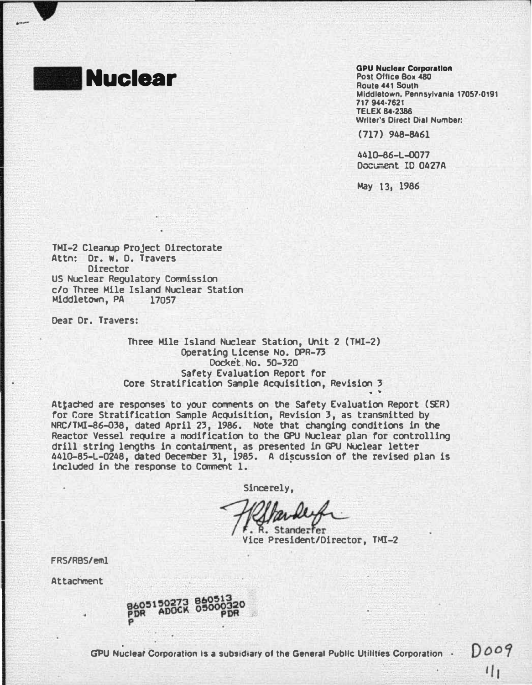

-

#### **GPU Nuclear Corporation** Post Office Box 480 Route 441 South Middletown. Pennsylvania 17057·0191 717 944-7621 **TELEX 84-2386** Writer's Direct Dial Number:

(717) 948-8461

4410-86-L-0077 Document ID 0427A

May 13, 1986

. .

TMI-2 Cleanup Project Directorate Attn: Dr. w. D. Travers **Director** US Nuclear Regulatory Commission c/o Three Mile Island Nuclear Station Middletown, PA

Dear Dr. Travers:

Three Mile Island Nuclear Station, Unit 2 (TMI-2) Operating Docket License No. IFR-73 Docket No. 50-320 Safety Evaluation Report for Core Stratification Sample Acquisition, Revision 3

Attached are responses to your comments on the Safety Evaluation Report (SER) for Core Stratification Sample Acquisition, Revision 3, as transmitted by NRC/TMI-86-038, dated April 23, 1986. Note that changing conditions in the Reactor Vessel require a modification to the GPU Nuclear plan for controlling drill string lengths in containment, as presented in GPU Nuclear letter 4410-85-L-0248, dated December 31, 1985. A discussion of the revised plan is included in the response to Conment 1. ·

Sincerely,

R. Standerfer Vice President/Director, THI-2

FRS/RBS/eml

Attachment

GPU Nuclear Corporation is a subsidiary of the General Public Utilities Corporation .